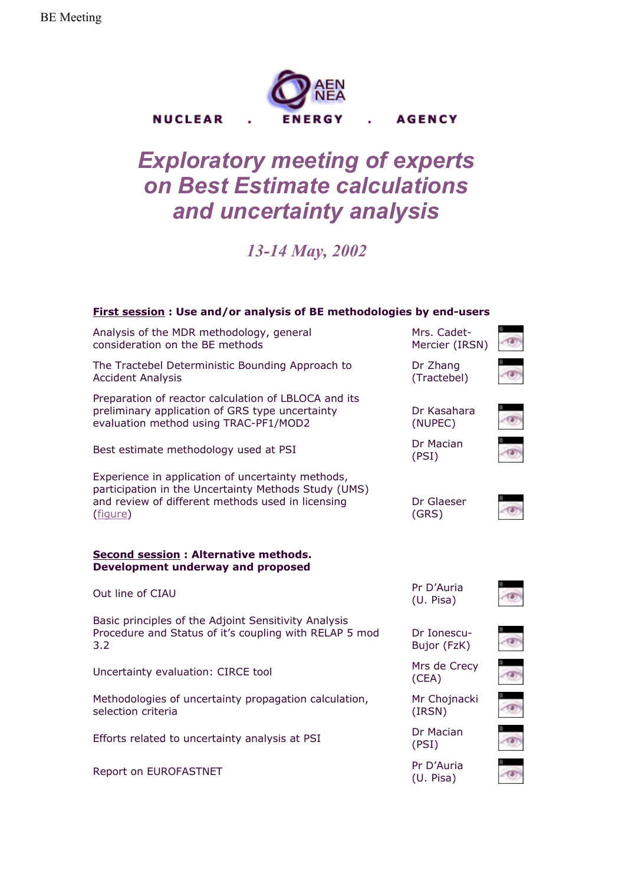

## *Exploratory meeting of experts on Best Estimate calculations and uncertainty analysis*

*13-14 May, 2002*

| <b>First session: Use and/or analysis of BE methodologies by end-users</b>                                                                                                 |                               |  |
|----------------------------------------------------------------------------------------------------------------------------------------------------------------------------|-------------------------------|--|
| Analysis of the MDR methodology, general<br>consideration on the BE methods                                                                                                | Mrs. Cadet-<br>Mercier (IRSN) |  |
| The Tractebel Deterministic Bounding Approach to<br><b>Accident Analysis</b>                                                                                               | Dr Zhang<br>(Tractebel)       |  |
| Preparation of reactor calculation of LBLOCA and its<br>preliminary application of GRS type uncertainty<br>evaluation method using TRAC-PF1/MOD2                           | Dr Kasahara<br>(NUPEC)        |  |
| Best estimate methodology used at PSI                                                                                                                                      | Dr Macian<br>(PSI)            |  |
| Experience in application of uncertainty methods,<br>participation in the Uncertainty Methods Study (UMS)<br>and review of different methods used in licensing<br>(figure) | Dr Glaeser<br>(GRS)           |  |
| <b>Second session: Alternative methods.</b><br><b>Development underway and proposed</b>                                                                                    |                               |  |
| Out line of CIAU                                                                                                                                                           | Pr D'Auria<br>(U. Pisa)       |  |
| Basic principles of the Adjoint Sensitivity Analysis<br>Procedure and Status of it's coupling with RELAP 5 mod<br>3.2                                                      | Dr Ionescu-<br>Bujor (FzK)    |  |
| Uncertainty evaluation: CIRCE tool                                                                                                                                         | Mrs de Crecy<br>(CEA)         |  |
| Methodologies of uncertainty propagation calculation,<br>selection criteria                                                                                                | Mr Chojnacki<br>(IRSN)        |  |
| Efforts related to uncertainty analysis at PSI                                                                                                                             | Dr Macian<br>(PSI)            |  |
| Report on EUROFASTNET                                                                                                                                                      | Pr D'Auria<br>(U. Pisa)       |  |